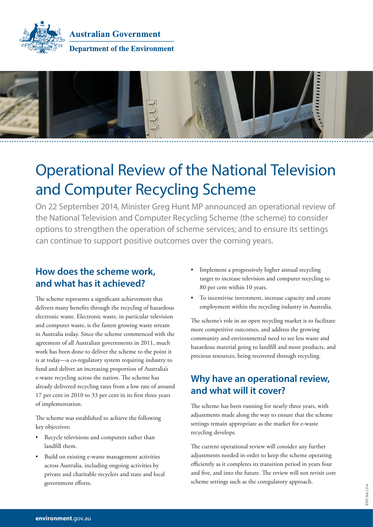

**Australian Government Department of the Environment** 



# Operational Review of the National Television and Computer Recycling Scheme

On 22 September 2014, Minister Greg Hunt MP announced an operational review of the National Television and Computer Recycling Scheme (the scheme) to consider options to strengthen the operation of scheme services; and to ensure its settings can continue to support positive outcomes over the coming years.

### **How does the scheme work, and what has it achieved?**

The scheme represents a significant achievement that delivers many benefits through the recycling of hazardous electronic waste. Electronic waste, in particular television and computer waste, is the fastest growing waste stream in Australia today. Since the scheme commenced with the agreement of all Australian governments in 2011, much work has been done to deliver the scheme to the point it is at today—a co-regulatory system requiring industry to fund and deliver an increasing proportion of Australia's e-waste recycling across the nation. The scheme has already delivered recycling rates from a low rate of around 17 per cent in 2010 to 33 per cent in its first three years of implementation.

The scheme was established to achieve the following key objectives:

- • Recycle televisions and computers rather than landfill them.
- Build on existing e-waste management activities across Australia, including ongoing activities by private and charitable recyclers and state and local government efforts.
- Implement a progressively higher annual recycling target to increase television and computer recycling to 80 per cent within 10 years.
- • To incentivise investment, increase capacity and create employment within the recycling industry in Australia.

The scheme's role in an open recycling market is to facilitate more competitive outcomes, and address the growing community and environmental need to see less waste and hazardous material going to landfill and more products, and precious resources, being recovered through recycling.

### **Why have an operational review, and what will it cover?**

The scheme has been running for nearly three years, with adjustments made along the way to ensure that the scheme settings remain appropriate as the market for e-waste recycling develops.

The current operational review will consider any further adjustments needed in order to keep the scheme operating efficiently as it completes its transition period in years four and five, and into the future. The review will not revisit core scheme settings such as the coregulatory approach.